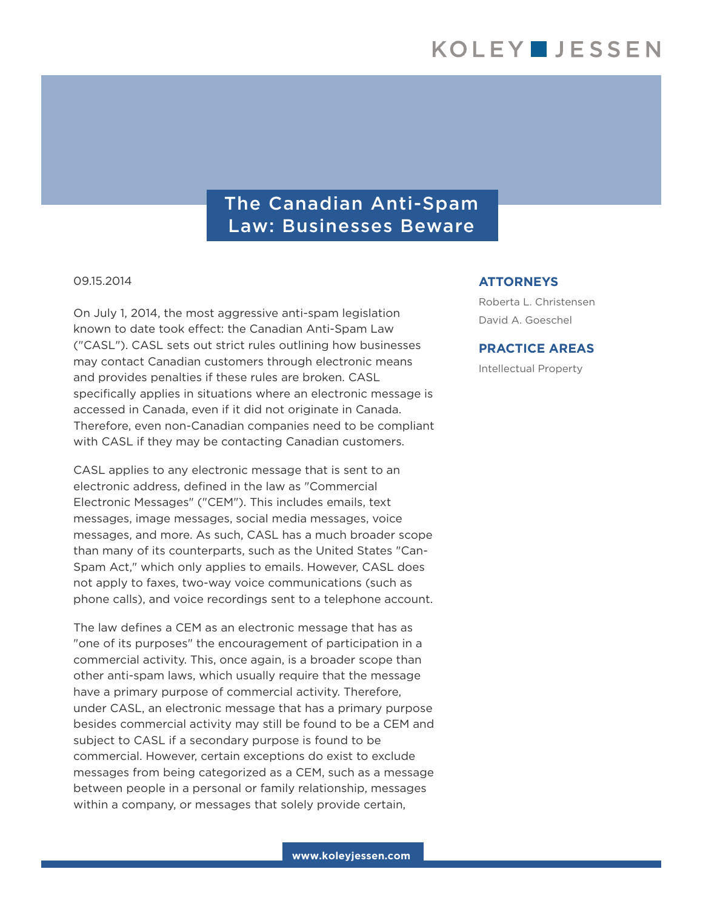# The Canadian Anti-Spam Law: Businesses Beware

#### 09.15.2014

On July 1, 2014, the most aggressive anti-spam legislation known to date took effect: the Canadian Anti-Spam Law ("CASL"). CASL sets out strict rules outlining how businesses may contact Canadian customers through electronic means and provides penalties if these rules are broken. CASL specifically applies in situations where an electronic message is accessed in Canada, even if it did not originate in Canada. Therefore, even non-Canadian companies need to be compliant with CASL if they may be contacting Canadian customers.

CASL applies to any electronic message that is sent to an electronic address, defined in the law as "Commercial Electronic Messages" ("CEM"). This includes emails, text messages, image messages, social media messages, voice messages, and more. As such, CASL has a much broader scope than many of its counterparts, such as the United States "Can-Spam Act," which only applies to emails. However, CASL does not apply to faxes, two-way voice communications (such as phone calls), and voice recordings sent to a telephone account.

The law defines a CEM as an electronic message that has as "one of its purposes" the encouragement of participation in a commercial activity. This, once again, is a broader scope than other anti-spam laws, which usually require that the message have a primary purpose of commercial activity. Therefore, under CASL, an electronic message that has a primary purpose besides commercial activity may still be found to be a CEM and subject to CASL if a secondary purpose is found to be commercial. However, certain exceptions do exist to exclude messages from being categorized as a CEM, such as a message between people in a personal or family relationship, messages within a company, or messages that solely provide certain,

### **ATTORNEYS**

Roberta L. Christensen David A. Goeschel

### **PRACTICE AREAS**

Intellectual Property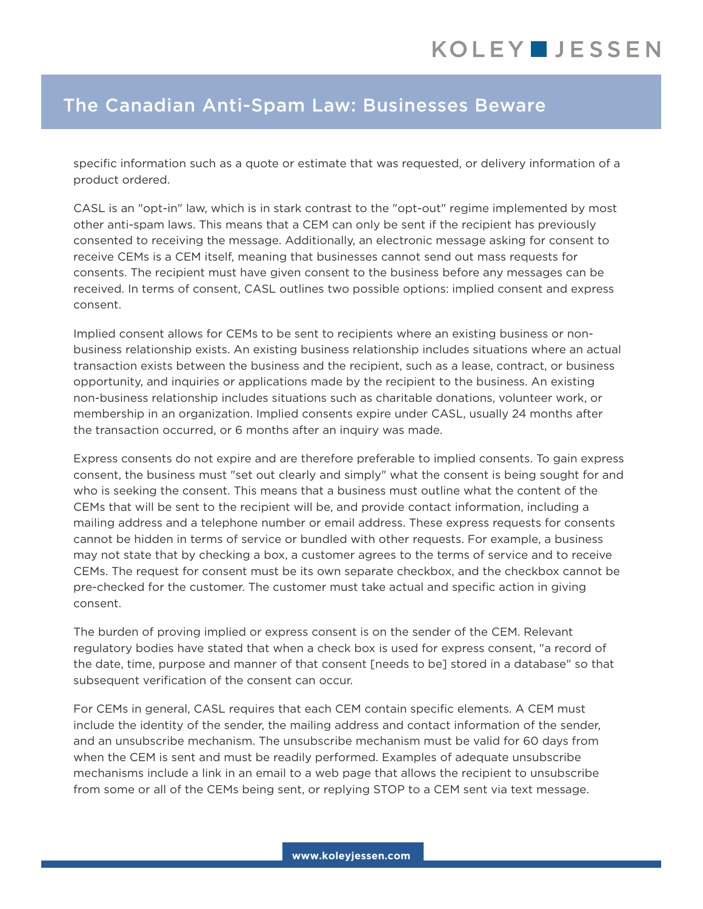## The Canadian Anti-Spam Law: Businesses Beware

specific information such as a quote or estimate that was requested, or delivery information of a product ordered.

CASL is an "opt-in" law, which is in stark contrast to the "opt-out" regime implemented by most other anti-spam laws. This means that a CEM can only be sent if the recipient has previously consented to receiving the message. Additionally, an electronic message asking for consent to receive CEMs is a CEM itself, meaning that businesses cannot send out mass requests for consents. The recipient must have given consent to the business before any messages can be received. In terms of consent, CASL outlines two possible options: implied consent and express consent.

Implied consent allows for CEMs to be sent to recipients where an existing business or nonbusiness relationship exists. An existing business relationship includes situations where an actual transaction exists between the business and the recipient, such as a lease, contract, or business opportunity, and inquiries or applications made by the recipient to the business. An existing non-business relationship includes situations such as charitable donations, volunteer work, or membership in an organization. Implied consents expire under CASL, usually 24 months after the transaction occurred, or 6 months after an inquiry was made.

Express consents do not expire and are therefore preferable to implied consents. To gain express consent, the business must "set out clearly and simply" what the consent is being sought for and who is seeking the consent. This means that a business must outline what the content of the CEMs that will be sent to the recipient will be, and provide contact information, including a mailing address and a telephone number or email address. These express requests for consents cannot be hidden in terms of service or bundled with other requests. For example, a business may not state that by checking a box, a customer agrees to the terms of service and to receive CEMs. The request for consent must be its own separate checkbox, and the checkbox cannot be pre-checked for the customer. The customer must take actual and specific action in giving consent.

The burden of proving implied or express consent is on the sender of the CEM. Relevant regulatory bodies have stated that when a check box is used for express consent, "a record of the date, time, purpose and manner of that consent [needs to be] stored in a database" so that subsequent verification of the consent can occur.

For CEMs in general, CASL requires that each CEM contain specific elements. A CEM must include the identity of the sender, the mailing address and contact information of the sender, and an unsubscribe mechanism. The unsubscribe mechanism must be valid for 60 days from when the CEM is sent and must be readily performed. Examples of adequate unsubscribe mechanisms include a link in an email to a web page that allows the recipient to unsubscribe from some or all of the CEMs being sent, or replying STOP to a CEM sent via text message.